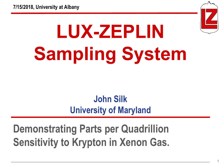

**1**

# **LUX-ZEPLIN Sampling System**

### **John Silk University of Maryland**

**Demonstrating Parts per Quadrillion Sensitivity to Krypton in Xenon Gas.**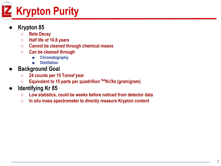

#### **● Krypton 85**

- **○ Beta Decay**
- **○ Half life of 10.8 years**
- **○ Cannot be cleaned through chemical means**
- **○ Can be cleaned through**
	- **■ Chromatography**
	- **■ Distillation**
- **● Background Goal**
	- **○ 24 counts per 15 Tonne\*year**
	- **Equivalent to 15 parts per quadrillion <sup>Nat</sup>Kr/Xe (gram/gram)**
- **● Identifying Kr 85**
	- **○ Low statistics, could be weeks before noticed from detector data**
	- **○ In situ mass spectrometer to directly measure Krypton content**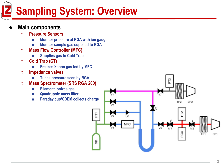### **Sampling System: Overview**

#### **● Main components**

- **○ Pressure Sensors**
	- **■ Monitor pressure at RGA with ion gauge**
	- **■ Monitor sample gas supplied to RGA**
- **○ Mass Flow Controller (MFC)**
	- **■ Supplies gas to Cold Trap**
- **○ Cold Trap (CT)**
	- **■ Freezes Xenon gas fed by MFC**
- **○ Impedance valves**
	- **■ Tunes pressure seen by RGA**
- **○ Mass Spectrometer (SRS RGA 200)**
	- **■ Filament ionizes gas**
	- **■ Quadrupole mass filter**
	- **■ Faraday cup/CDEM collects charge**

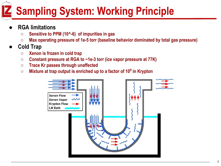### **Sampling System: Working Principle**

- **● RGA limitations**
	- **○ Sensitive to PPM (10^-6) of impurities in gas**
	- **○ Max operating pressure of 1e-5 torr (baseline behavior dominated by total gas pressure)**
- **● Cold Trap**
	- **○ Xenon is frozen in cold trap**
	- **○ Constant pressure at RGA to ~1e-3 torr (ice vapor pressure at 77K)**
	- **○ Trace Kr passes through unaffected**
	- **○ Mixture at trap output is enriched up to a factor of 10<sup>9</sup> in Krypton**

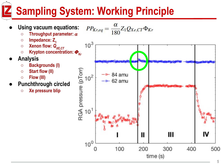### **Sampling System: Working Principle**

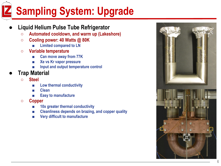## **Sampling System: Upgrade**

#### **● Liquid Helium Pulse Tube Refrigerator**

- **○ Automated cooldown, and warm up (Lakeshore)**
- **○ Cooling power: 40 Watts @ 80K**
	- **■ Limited compared to LN**
- **○ Variable temperature**
	- **■ Can move away from 77K**
	- **■ Xe vs Kr vapor pressure**
	- **■ Input and output temperature control**
- **● Trap Material**
	- **○ Steel**
		- **■ Low thermal conductivity**
		- **■ Clean**
		- **■ Easy to manufacture**
	- **○ Copper**
		- **■ 10x greater thermal conductivity**
		- **■ Cleanliness depends on brazing, and copper quality**
		- **■ Very difficult to manufacture**

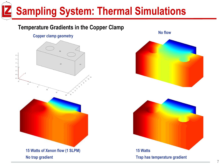### **Sampling System: Thermal Simulations**

#### **Temperature Gradients in the Copper Clamp**

#### **Copper clamp geometry**



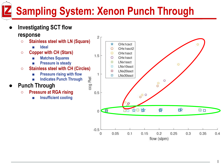### **Sampling System: Xenon Punch Through**

**● Investigating SCT flow** 

#### **response**

- **○ Stainless steel with LN (Square)**
	- **■ Ideal**
- **○ Copper with CH (Stars)**
	- **■ Matches Squares**
	- **■ Pressure is steady**
- **○ Stainless steel with CH (Circles)**
	- **■ Pressure rising with flow**
		- **■ Indicates Punch Through**

#### **● Punch Through**

- **○ Pressure at RGA rising**
	- **■ Insufficient cooling**

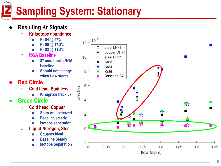### **Sampling System: Stationary**

#### **● Resulting Kr Signals**

- **○ Kr isotope abundance**
	- **■ Kr 84 @ 57%**
	- **■ Kr 86 @ 17.3%**
	- **■ Kr 83 @ 11.5%**
- **○ RGA Baseline**
	- **■ 87 amu tracks RGA baseline**
	- **Should not change when flow starts**
- **● Red Circle**
	- **○ Cold head, Stainless**
		- **■ Kr signals track 87**
- **● Green Circle**
	- **○ Cold head, Copper**
		- **■ Stars well behaved**
		- **■ Baseline steady**
		- **■ Isotope separation**
	- **○ Liquid Nitrogen, Steel**
		- **■ Squares ideal**
		- **Baseline Steady**
		- **■ Isotope Separation**

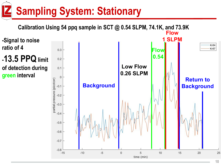### **Sampling System: Stationary**

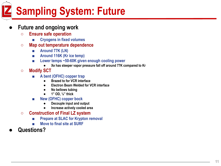## **Sampling System: Future**

#### **● Future and ongoing work**

- **○ Ensure safe operation**
	- **■ Cryogens in fixed volumes**
- **○ Map out temperature dependence**
	- **■ Around 77K (LN)**
	- **■ Around 116K (Kr ice temp)**
	- **■ Lower temps ~50-60K given enough cooling power**
		- **● Xe has steeper vapor pressure fall off around 77K compared to Kr**
- **○ Modify SCT**
	- **■ A bent (OFHC) copper trap**
		- **● Brazed to for VCR interface**
		- **● Electron Beam Welded for VCR interface**
		- **● No bellows tubing**
		- **● 1" OD, ⅛" thick**
	- **■ New (OFHC) copper bock**
		- **Decouple input and output**
		- **● Increase actively cooled area**
- **○ Construction of Final LZ system**
	- **■ Prepare at SLAC for Krypton removal**
	- **■ Move to final site at SURF**
- **● Questions?**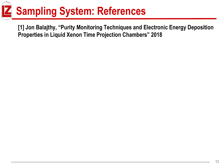## **Sampling System: References**

**[1] Jon Balajthy, "Purity Monitoring Techniques and Electronic Energy Deposition Properties in Liquid Xenon Time Projection Chambers" 2018**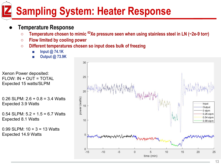### **Sampling System: Heater Response**

#### **● Temperature Response**

- **○ Temperature chosen to mimic 62Xe pressure seen when using stainless steel in LN (~2e-9 torr)**
- **○ Flow limited by cooling power**
- **○ Different temperatures chosen so input does bulk of freezing**
	- **■ Input @ 74.1K**
	- **■ Output @ 73.9K**

Xenon Power deposited: FLOW: IN + OUT = TOTAL Expected 15 watts/SLPM

0.26 SLPM:  $2.6 + 0.8 = 3.4$  Watts Expected 3.9 Watts

0.54 SLPM:  $5.2 + 1.5 = 6.7$  Watts Expected 8.1 Watts

0.99 SLPM:  $10 + 3 = 13$  Watts Expected 14.9 Watts